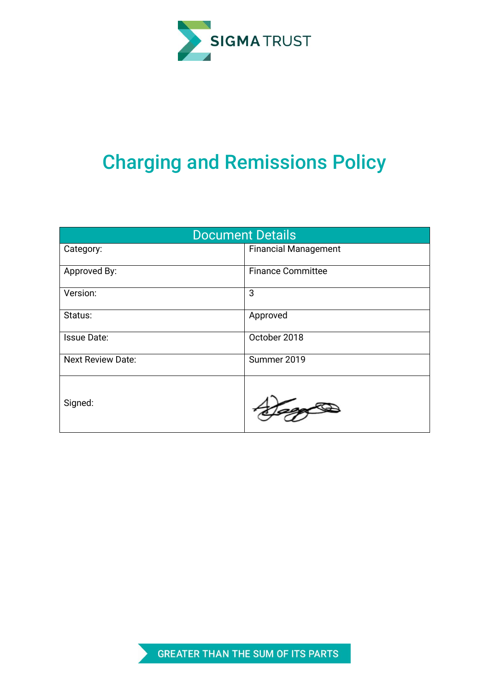

# Charging and Remissions Policy

| <b>Document Details</b>  |                             |  |  |  |
|--------------------------|-----------------------------|--|--|--|
| Category:                | <b>Financial Management</b> |  |  |  |
| Approved By:             | <b>Finance Committee</b>    |  |  |  |
| Version:                 | 3                           |  |  |  |
| Status:                  | Approved                    |  |  |  |
| <b>Issue Date:</b>       | October 2018                |  |  |  |
| <b>Next Review Date:</b> | Summer 2019                 |  |  |  |
| Signed:                  |                             |  |  |  |

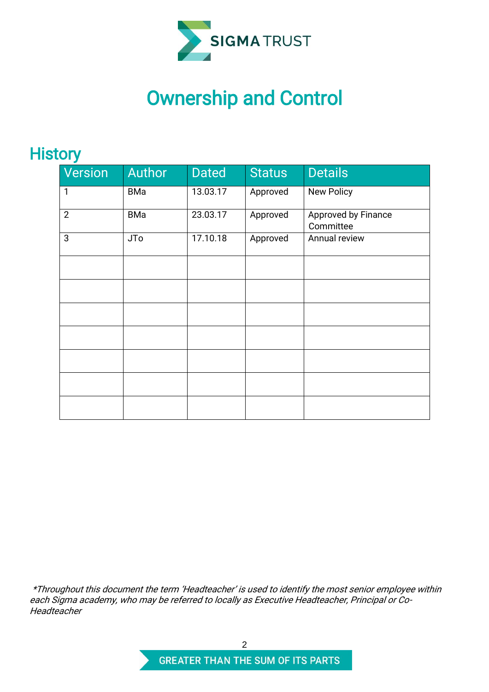

# Ownership and Control

# **History**

| - - -          |            |              |               |                                  |  |  |
|----------------|------------|--------------|---------------|----------------------------------|--|--|
| Version        | Author     | <b>Dated</b> | <b>Status</b> | <b>Details</b>                   |  |  |
| 1              | BMa        | 13.03.17     | Approved      | <b>New Policy</b>                |  |  |
| $\overline{2}$ | <b>BMa</b> | 23.03.17     | Approved      | Approved by Finance<br>Committee |  |  |
| 3              | <b>JTo</b> | 17.10.18     | Approved      | Annual review                    |  |  |
|                |            |              |               |                                  |  |  |
|                |            |              |               |                                  |  |  |
|                |            |              |               |                                  |  |  |
|                |            |              |               |                                  |  |  |
|                |            |              |               |                                  |  |  |
|                |            |              |               |                                  |  |  |
|                |            |              |               |                                  |  |  |

\*Throughout this document the term 'Headteacher' is used to identify the most senior employee within each Sigma academy, who may be referred to locally as Executive Headteacher, Principal or Co-Headteacher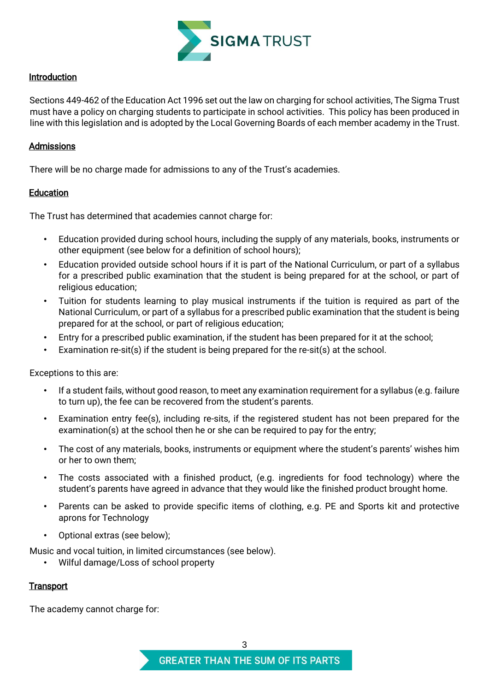

## Introduction

Sections 449-462 of the Education Act 1996 set out the law on charging for school activities, The Sigma Trust must have a policy on charging students to participate in school activities. This policy has been produced in line with this legislation and is adopted by the Local Governing Boards of each member academy in the Trust.

### Admissions

There will be no charge made for admissions to any of the Trust's academies.

### **Education**

The Trust has determined that academies cannot charge for:

- Education provided during school hours, including the supply of any materials, books, instruments or other equipment (see below for a definition of school hours);
- Education provided outside school hours if it is part of the National Curriculum, or part of a syllabus for a prescribed public examination that the student is being prepared for at the school, or part of religious education;
- Tuition for students learning to play musical instruments if the tuition is required as part of the National Curriculum, or part of a syllabus for a prescribed public examination that the student is being prepared for at the school, or part of religious education;
- Entry for a prescribed public examination, if the student has been prepared for it at the school;
- Examination re-sit(s) if the student is being prepared for the re-sit(s) at the school.

Exceptions to this are:

- If a student fails, without good reason, to meet any examination requirement for a syllabus (e.g. failure to turn up), the fee can be recovered from the student's parents.
- Examination entry fee(s), including re-sits, if the registered student has not been prepared for the examination(s) at the school then he or she can be required to pay for the entry;
- The cost of any materials, books, instruments or equipment where the student's parents' wishes him or her to own them;
- The costs associated with a finished product, (e.g. ingredients for food technology) where the student's parents have agreed in advance that they would like the finished product brought home.
- Parents can be asked to provide specific items of clothing, e.g. PE and Sports kit and protective aprons for Technology
- Optional extras (see below);

Music and vocal tuition, in limited circumstances (see below).

• Wilful damage/Loss of school property

# **Transport**

The academy cannot charge for: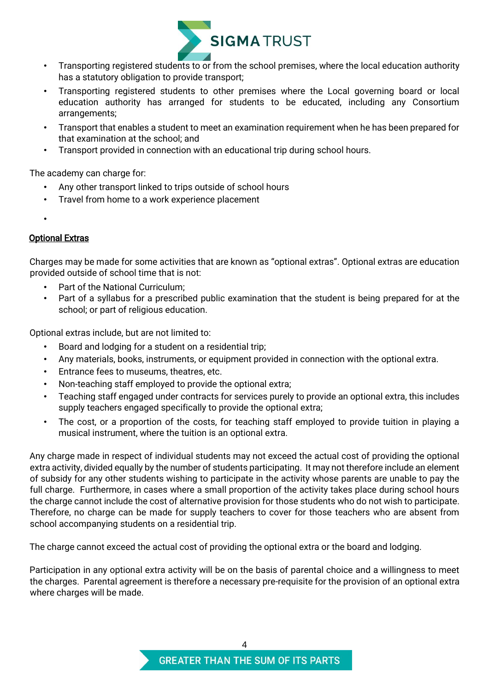

- Transporting registered students to or from the school premises, where the local education authority has a statutory obligation to provide transport;
- Transporting registered students to other premises where the Local governing board or local education authority has arranged for students to be educated, including any Consortium arrangements;
- Transport that enables a student to meet an examination requirement when he has been prepared for that examination at the school; and
- Transport provided in connection with an educational trip during school hours.

The academy can charge for:

- Any other transport linked to trips outside of school hours
- Travel from home to a work experience placement
- •

# Optional Extras

Charges may be made for some activities that are known as "optional extras". Optional extras are education provided outside of school time that is not:

- Part of the National Curriculum:
- Part of a syllabus for a prescribed public examination that the student is being prepared for at the school; or part of religious education.

Optional extras include, but are not limited to:

- Board and lodging for a student on a residential trip;
- Any materials, books, instruments, or equipment provided in connection with the optional extra.
- Entrance fees to museums, theatres, etc.
- Non-teaching staff employed to provide the optional extra;
- Teaching staff engaged under contracts for services purely to provide an optional extra, this includes supply teachers engaged specifically to provide the optional extra;
- The cost, or a proportion of the costs, for teaching staff employed to provide tuition in playing a musical instrument, where the tuition is an optional extra.

Any charge made in respect of individual students may not exceed the actual cost of providing the optional extra activity, divided equally by the number of students participating. It may not therefore include an element of subsidy for any other students wishing to participate in the activity whose parents are unable to pay the full charge. Furthermore, in cases where a small proportion of the activity takes place during school hours the charge cannot include the cost of alternative provision for those students who do not wish to participate. Therefore, no charge can be made for supply teachers to cover for those teachers who are absent from school accompanying students on a residential trip.

The charge cannot exceed the actual cost of providing the optional extra or the board and lodging.

Participation in any optional extra activity will be on the basis of parental choice and a willingness to meet the charges. Parental agreement is therefore a necessary pre-requisite for the provision of an optional extra where charges will be made.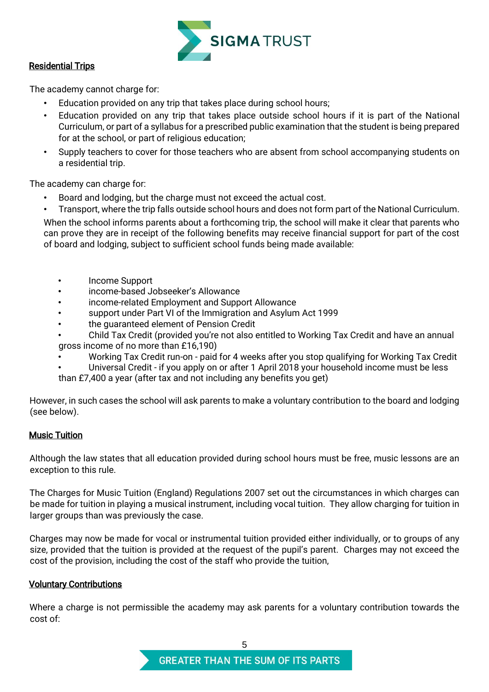

## Residential Trips

The academy cannot charge for:

- Education provided on any trip that takes place during school hours;
- Education provided on any trip that takes place outside school hours if it is part of the National Curriculum, or part of a syllabus for a prescribed public examination that the student is being prepared for at the school, or part of religious education;
- Supply teachers to cover for those teachers who are absent from school accompanying students on a residential trip.

The academy can charge for:

- Board and lodging, but the charge must not exceed the actual cost.
- Transport, where the trip falls outside school hours and does not form part of the National Curriculum.

When the school informs parents about a forthcoming trip, the school will make it clear that parents who can prove they are in receipt of the following benefits may receive financial support for part of the cost of board and lodging, subject to sufficient school funds being made available:

- Income Support
- income-based Jobseeker's Allowance
- income-related Employment and Support Allowance
- support under Part VI of the Immigration and Asylum Act 1999
- the guaranteed element of Pension Credit
- Child Tax Credit (provided you're not also entitled to Working Tax Credit and have an annual gross income of no more than £16,190)
- Working Tax Credit run-on paid for 4 weeks after you stop qualifying for Working Tax Credit
- Universal Credit if you apply on or after 1 April 2018 your household income must be less
- than £7,400 a year (after tax and not including any benefits you get)

However, in such cases the school will ask parents to make a voluntary contribution to the board and lodging (see below).

### Music Tuition

Although the law states that all education provided during school hours must be free, music lessons are an exception to this rule.

The Charges for Music Tuition (England) Regulations 2007 set out the circumstances in which charges can be made for tuition in playing a musical instrument, including vocal tuition. They allow charging for tuition in larger groups than was previously the case.

Charges may now be made for vocal or instrumental tuition provided either individually, or to groups of any size, provided that the tuition is provided at the request of the pupil's parent. Charges may not exceed the cost of the provision, including the cost of the staff who provide the tuition,

# Voluntary Contributions

Where a charge is not permissible the academy may ask parents for a voluntary contribution towards the cost of: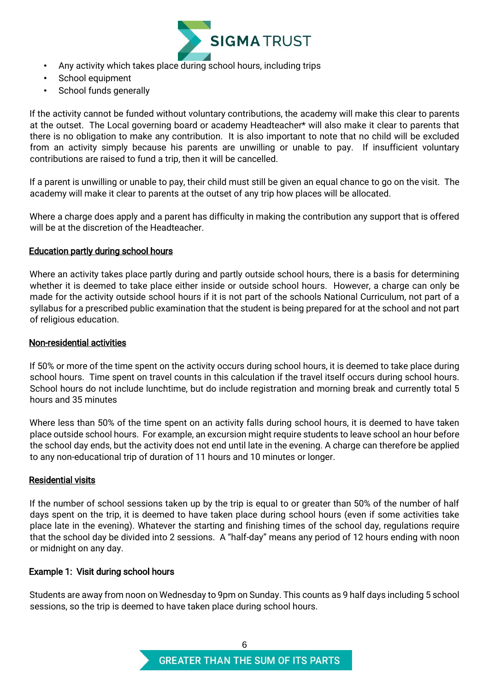

- Any activity which takes place during school hours, including trips
- School equipment
- School funds generally

If the activity cannot be funded without voluntary contributions, the academy will make this clear to parents at the outset. The Local governing board or academy Headteacher\* will also make it clear to parents that there is no obligation to make any contribution. It is also important to note that no child will be excluded from an activity simply because his parents are unwilling or unable to pay. If insufficient voluntary contributions are raised to fund a trip, then it will be cancelled.

If a parent is unwilling or unable to pay, their child must still be given an equal chance to go on the visit. The academy will make it clear to parents at the outset of any trip how places will be allocated.

Where a charge does apply and a parent has difficulty in making the contribution any support that is offered will be at the discretion of the Headteacher.

### Education partly during school hours

Where an activity takes place partly during and partly outside school hours, there is a basis for determining whether it is deemed to take place either inside or outside school hours. However, a charge can only be made for the activity outside school hours if it is not part of the schools National Curriculum, not part of a syllabus for a prescribed public examination that the student is being prepared for at the school and not part of religious education.

### Non-residential activities

If 50% or more of the time spent on the activity occurs during school hours, it is deemed to take place during school hours. Time spent on travel counts in this calculation if the travel itself occurs during school hours. School hours do not include lunchtime, but do include registration and morning break and currently total 5 hours and 35 minutes

Where less than 50% of the time spent on an activity falls during school hours, it is deemed to have taken place outside school hours. For example, an excursion might require students to leave school an hour before the school day ends, but the activity does not end until late in the evening. A charge can therefore be applied to any non-educational trip of duration of 11 hours and 10 minutes or longer.

### Residential visits

If the number of school sessions taken up by the trip is equal to or greater than 50% of the number of half days spent on the trip, it is deemed to have taken place during school hours (even if some activities take place late in the evening). Whatever the starting and finishing times of the school day, regulations require that the school day be divided into 2 sessions. A "half-day" means any period of 12 hours ending with noon or midnight on any day.

### Example 1: Visit during school hours

Students are away from noon on Wednesday to 9pm on Sunday. This counts as 9 half days including 5 school sessions, so the trip is deemed to have taken place during school hours.